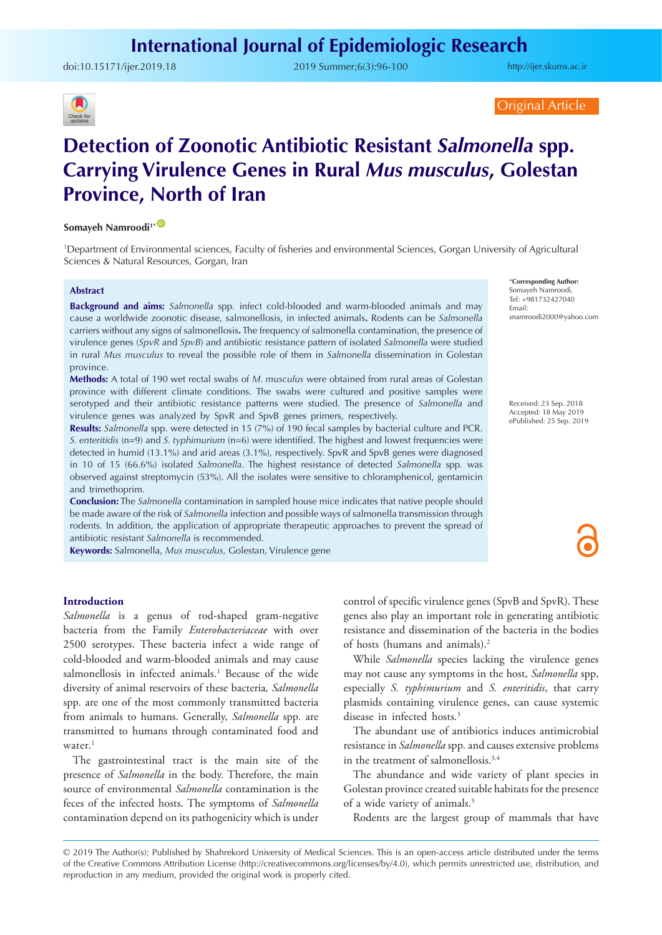doi:10.15171/ijer.2019.18 2019 Summer;6(3):96-100

<http://ijer.skums.ac.ir>



Original Article

# **Detection of Zoonotic Antibiotic Resistant** *Salmonella* **spp. Carrying Virulence Genes in Rural** *Mus musculus***, Golestan Province, North of Iran**

#### **Somayeh Namroodi1\*** [ID](http://orcid.org/0000-0002-4292-4098)

1 Department of Environmental sciences, Faculty of fisheries and environmental Sciences, Gorgan University of Agricultural Sciences & Natural Resources, Gorgan, Iran

#### **Abstract**

**Background and aims:** *Salmonella* spp*.* infect cold-blooded and warm-blooded animals and may cause a worldwide zoonotic disease, salmonellosis, in infected animals**.** Rodents can be *Salmonella*  carriers without any signs of salmonellosis**.** The frequency of salmonella contamination, the presence of virulence genes (*SpvR* and *SpvB*) and antibiotic resistance pattern of isolated *Salmonella* were studied in rural *Mus musculus* to reveal the possible role of them in *Salmonella* dissemination in Golestan province.

**Methods:** A total of 190 wet rectal swabs of *M. musculus* were obtained from rural areas of Golestan province with different climate conditions. The swabs were cultured and positive samples were serotyped and their antibiotic resistance patterns were studied. The presence of *Salmonella* and virulence genes was analyzed by SpvR and SpvB genes primers, respectively.

**Results:** *Salmonella* spp. were detected in 15 (7%) of 190 fecal samples by bacterial culture and PCR. *S. enteritidis* (n=9) and *S. typhimurium* (n=6) were identified. The highest and lowest frequencies were detected in humid (13.1%) and arid areas (3.1%), respectively. SpvR and SpvB genes were diagnosed in 10 of 15 (66.6%) isolated *Salmonella*. The highest resistance of detected *Salmonella* spp*.* was observed against streptomycin (53%). All the isolates were sensitive to chloramphenicol, gentamicin and trimethoprim.

**Conclusion:** The *Salmonella* contamination in sampled house mice indicates that native people should be made aware of the risk of *Salmonella* infection and possible ways of salmonella transmission through rodents. In addition, the application of appropriate therapeutic approaches to prevent the spread of antibiotic resistant *Salmonella* is recommended.

**Keywords:** Salmonella, *Mus musculus*, Golestan, Virulence gene

\***Corresponding Author:** Somayeh Namroodi, Tel: +981732427040 Email: snamroodi2000@yahoo.com

Received: 23 Sep. 2018 Accepted: 18 May 2019 ePublished: 25 Sep. 2019



#### **Introduction**

*Salmonella* is a genus of rod-shaped gram-negative bacteria from the Family *Enterobacteriaceae* with over 2500 serotypes. These bacteria infect a wide range of cold-blooded and warm-blooded animals and may cause salmonellosis in infected animals.<sup>1</sup> Because of the wide diversity of animal reservoirs of these bacteria*, Salmonella*  spp*.* are one of the most commonly transmitted bacteria from animals to humans. Generally, *Salmonella* spp*.* are transmitted to humans through contaminated food and water.<sup>1</sup>

The gastrointestinal tract is the main site of the presence of *Salmonella* in the body. Therefore, the main source of environmental *Salmonella* contamination is the feces of the infected hosts. The symptoms of *Salmonella* contamination depend on its pathogenicity which is under control of specific virulence genes (SpvB and SpvR). These genes also play an important role in generating antibiotic resistance and dissemination of the bacteria in the bodies of hosts (humans and animals).2

While *Salmonella* species lacking the virulence genes may not cause any symptoms in the host, *Salmonella* spp, especially *S. typhimurium* and *S. enteritidis*, that carry plasmids containing virulence genes, can cause systemic disease in infected hosts.3

The abundant use of antibiotics induces antimicrobial resistance in *Salmonella* spp*.* and causes extensive problems in the treatment of salmonellosis.<sup>3,4</sup>

The abundance and wide variety of plant species in Golestan province created suitable habitats for the presence of a wide variety of animals.<sup>5</sup>

Rodents are the largest group of mammals that have

<sup>© 2019</sup> The Author(s); Published by Shahrekord University of Medical Sciences. This is an open-access article distributed under the terms of the Creative Commons Attribution License (http://creativecommons.org/licenses/by/4.0), which permits unrestricted use, distribution, and reproduction in any medium, provided the original work is properly cited.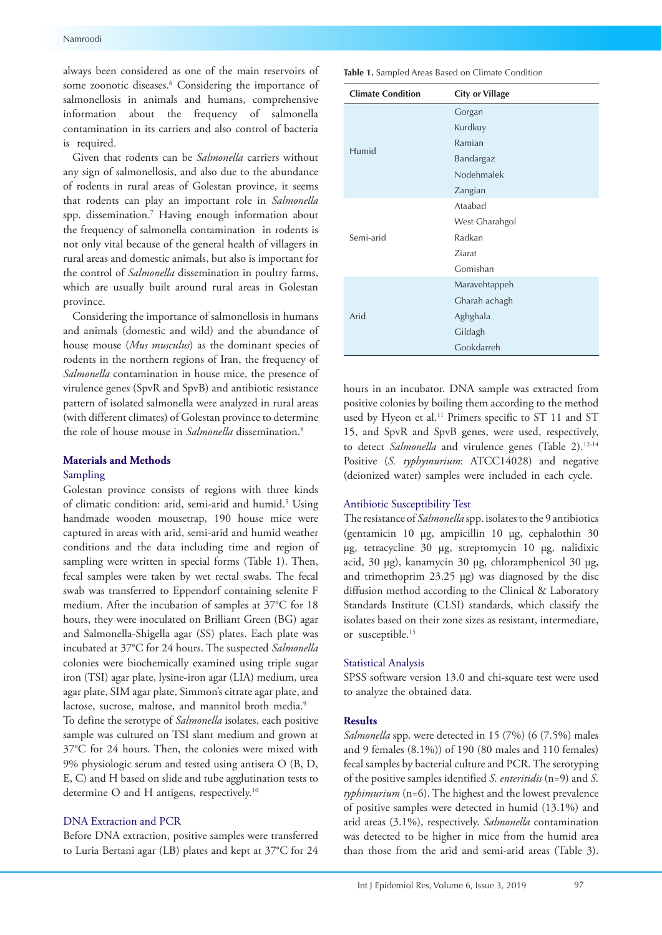always been considered as one of the main reservoirs of some zoonotic diseases.<sup>6</sup> Considering the importance of salmonellosis in animals and humans, comprehensive information about the frequency of salmonella contamination in its carriers and also control of bacteria is required.

Given that rodents can be *Salmonella* carriers without any sign of salmonellosis, and also due to the abundance of rodents in rural areas of Golestan province, it seems that rodents can play an important role in *Salmonella*  spp. dissemination.7 Having enough information about the frequency of salmonella contamination in rodents is not only vital because of the general health of villagers in rural areas and domestic animals, but also is important for the control of *Salmonella* dissemination in poultry farms, which are usually built around rural areas in Golestan province.

Considering the importance of salmonellosis in humans and animals (domestic and wild) and the abundance of house mouse (*Mus musculus*) as the dominant species of rodents in the northern regions of Iran, the frequency of *Salmonella* contamination in house mice, the presence of virulence genes (SpvR and SpvB) and antibiotic resistance pattern of isolated salmonella were analyzed in rural areas (with different climates) of Golestan province to determine the role of house mouse in *Salmonella* dissemination.8

# **Materials and Methods**

## Sampling

Golestan province consists of regions with three kinds of climatic condition: arid, semi-arid and humid.<sup>5</sup> Using handmade wooden mousetrap, 190 house mice were captured in areas with arid, semi-arid and humid weather conditions and the data including time and region of sampling were written in special forms (Table 1). Then, fecal samples were taken by wet rectal swabs. The fecal swab was transferred to Eppendorf containing selenite F medium. After the incubation of samples at 37°C for 18 hours, they were inoculated on Brilliant Green (BG) agar and Salmonella-Shigella agar (SS) plates. Each plate was incubated at 37°C for 24 hours. The suspected *Salmonella*  colonies were biochemically examined using triple sugar iron (TSI) agar plate, lysine-iron agar (LIA) medium, urea agar plate, SIM agar plate, Simmon's citrate agar plate, and lactose, sucrose, maltose, and mannitol broth media.<sup>9</sup>

To define the serotype of *Salmonella* isolates, each positive sample was cultured on TSI slant medium and grown at 37°C for 24 hours. Then, the colonies were mixed with 9% physiologic serum and tested using antisera O (B, D, E, C) and H based on slide and tube agglutination tests to determine O and H antigens, respectively.<sup>10</sup>

# DNA Extraction and PCR

Before DNA extraction, positive samples were transferred to Luria Bertani agar (LB) plates and kept at 37°C for 24

**Table 1.** Sampled Areas Based on Climate Condition

| <b>Climate Condition</b> | <b>City or Village</b> |  |
|--------------------------|------------------------|--|
|                          | Gorgan                 |  |
|                          | Kurdkuy                |  |
|                          | Ramian                 |  |
| Humid                    | Bandargaz              |  |
|                          | Nodehmalek             |  |
|                          | Zangian                |  |
|                          | Ataabad                |  |
|                          | West Gharahgol         |  |
| Semi-arid                | Radkan                 |  |
|                          | Ziarat                 |  |
|                          | Gomishan               |  |
|                          | Maravehtappeh          |  |
|                          | Gharah achagh          |  |
| Arid                     | Aghghala               |  |
|                          | Gildagh                |  |
|                          | Gookdarreh             |  |

hours in an incubator. DNA sample was extracted from positive colonies by boiling them according to the method used by Hyeon et al.<sup>11</sup> Primers specific to ST 11 and ST 15, and SpvR and SpvB genes, were used, respectively, to detect *Salmonella* and virulence genes (Table 2).<sup>12-14</sup> Positive (*S. typhymurium*: ATCC14028) and negative (deionized water) samples were included in each cycle.

#### Antibiotic Susceptibility Test

The resistance of *Salmonella* spp. isolates to the 9 antibiotics (gentamicin 10 μg, ampicillin 10 μg, cephalothin 30 μg, tetracycline 30 μg, streptomycin 10 μg, nalidixic acid, 30 μg), kanamycin 30 μg, chloramphenicol 30 μg, and trimethoprim 23.25 μg) was diagnosed by the disc diffusion method according to the Clinical & Laboratory Standards Institute (CLSI) standards, which classify the isolates based on their zone sizes as resistant, intermediate, or susceptible.<sup>15</sup>

### Statistical Analysis

SPSS software version 13.0 and chi-square test were used to analyze the obtained data.

#### **Results**

*Salmonella* spp. were detected in 15 (7%) (6 (7.5%) males and 9 females (8.1%)) of 190 (80 males and 110 females) fecal samples by bacterial culture and PCR. The serotyping of the positive samples identified *S. enteritidis* (n=9) and *S. typhimurium* (n=6). The highest and the lowest prevalence of positive samples were detected in humid (13.1%) and arid areas (3.1%), respectively. *Salmonella* contamination was detected to be higher in mice from the humid area than those from the arid and semi-arid areas (Table 3).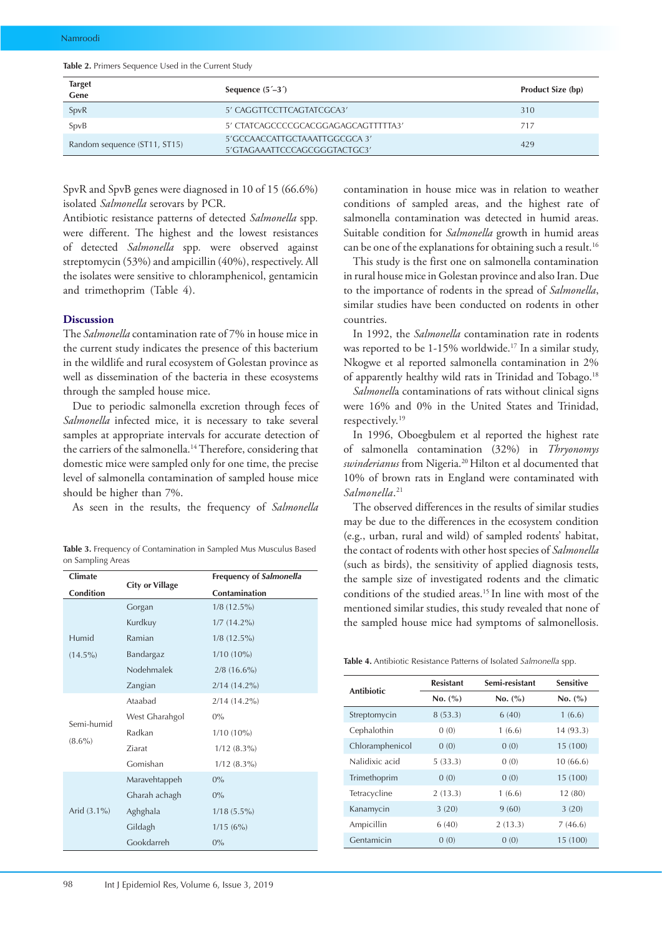|  |  |  | <b>Table 2.</b> Primers Sequence Used in the Current Study |  |  |  |  |  |  |
|--|--|--|------------------------------------------------------------|--|--|--|--|--|--|
|--|--|--|------------------------------------------------------------|--|--|--|--|--|--|

| <b>Target</b><br>Gene        | Sequence $(5^{\prime}-3^{\prime})$                            | <b>Product Size (bp)</b> |
|------------------------------|---------------------------------------------------------------|--------------------------|
| SpvR                         | 5' CAGGTTCCTTCAGTATCGCA3'                                     | 310                      |
| SpvB                         | 5' CTATCAGCCCCGCACGGAGAGCAGTTTTTA3'                           | 717                      |
| Random sequence (ST11, ST15) | 5'GCCAACCATTGCTAAATTGGCGCA 3'<br>5'GTAGAAATTCCCAGCGGGTACTGC3' | 429                      |

SpvR and SpvB genes were diagnosed in 10 of 15 (66.6%) isolated *Salmonella* serovars by PCR.

Antibiotic resistance patterns of detected *Salmonella* spp*.* were different. The highest and the lowest resistances of detected *Salmonella* spp*.* were observed against streptomycin (53%) and ampicillin (40%), respectively. All the isolates were sensitive to chloramphenicol, gentamicin and trimethoprim (Table 4).

#### **Discussion**

The *Salmonella* contamination rate of 7% in house mice in the current study indicates the presence of this bacterium in the wildlife and rural ecosystem of Golestan province as well as dissemination of the bacteria in these ecosystems through the sampled house mice.

Due to periodic salmonella excretion through feces of *Salmonella* infected mice, it is necessary to take several samples at appropriate intervals for accurate detection of the carriers of the salmonella.<sup>14</sup> Therefore, considering that domestic mice were sampled only for one time, the precise level of salmonella contamination of sampled house mice should be higher than 7%.

As seen in the results, the frequency of *Salmonella*

| <b>Climate</b>          | <b>City or Village</b> | <b>Frequency of Salmonella</b> |  |  |
|-------------------------|------------------------|--------------------------------|--|--|
| Condition               |                        | Contamination                  |  |  |
|                         | Gorgan                 | $1/8$ (12.5%)                  |  |  |
|                         | Kurdkuy                | $1/7$ $(14.2\%)$               |  |  |
| Humid                   | Ramian                 | $1/8$ (12.5%)                  |  |  |
| $(14.5\%)$              | Bandargaz              | $1/10(10\%)$                   |  |  |
|                         | Nodehmalek             | $2/8$ (16.6%)                  |  |  |
|                         | Zangian                | $2/14(14.2\%)$                 |  |  |
| Semi-humid<br>$(8.6\%)$ | Ataabad                | $2/14(14.2\%)$                 |  |  |
|                         | West Gharahgol         | $0\%$                          |  |  |
|                         | Radkan                 | $1/10(10\%)$                   |  |  |
|                         | <b>Ziarat</b>          | $1/12$ $(8.3\%)$               |  |  |
|                         | Gomishan               | $1/12$ $(8.3\%)$               |  |  |
|                         | Maravehtappeh          | $0\%$                          |  |  |
| Arid $(3.1\%)$          | Gharah achagh          | $0\%$                          |  |  |
|                         | Aghghala               | $1/18(5.5\%)$                  |  |  |
|                         | Gildagh                | 1/15(6%)                       |  |  |
|                         | Gookdarreh             | $0\%$                          |  |  |

**Table 3.** Frequency of Contamination in Sampled Mus Musculus Based on Sampling Areas

contamination in house mice was in relation to weather conditions of sampled areas, and the highest rate of salmonella contamination was detected in humid areas. Suitable condition for *Salmonella* growth in humid areas can be one of the explanations for obtaining such a result.<sup>16</sup>

This study is the first one on salmonella contamination in rural house mice in Golestan province and also Iran. Due to the importance of rodents in the spread of *Salmonella*, similar studies have been conducted on rodents in other countries.

In 1992, the *Salmonella* contamination rate in rodents was reported to be 1-15% worldwide.<sup>17</sup> In a similar study, Nkogwe et al reported salmonella contamination in 2% of apparently healthy wild rats in Trinidad and Tobago.<sup>18</sup>

*Salmonell*a contaminations of rats without clinical signs were 16% and 0% in the United States and Trinidad, respectively.19

In 1996, Oboegbulem et al reported the highest rate of salmonella contamination (32%) in *Thryonomys swinderianus* from Nigeria.20 Hilton et al documented that 10% of brown rats in England were contaminated with *Salmonella*. 21

The observed differences in the results of similar studies may be due to the differences in the ecosystem condition (e.g., urban, rural and wild) of sampled rodents' habitat, the contact of rodents with other host species of *Salmonella* (such as birds), the sensitivity of applied diagnosis tests, the sample size of investigated rodents and the climatic conditions of the studied areas.15 In line with most of the mentioned similar studies, this study revealed that none of the sampled house mice had symptoms of salmonellosis.

**Table 4.** Antibiotic Resistance Patterns of Isolated *Salmonella* spp.

| <b>Antibiotic</b> | <b>Resistant</b> | Semi-resistant |          |  |
|-------------------|------------------|----------------|----------|--|
|                   | No. (%)          | No. (%)        | No. (%)  |  |
| Streptomycin      | 8(53.3)          | 6(40)          | 1(6.6)   |  |
| Cephalothin       | 0(0)             | 1(6.6)         | 14(93.3) |  |
| Chloramphenicol   | 0(0)             | 0(0)           | 15 (100) |  |
| Nalidixic acid    | 5(33.3)          | 0(0)           | 10(66.6) |  |
| Trimethoprim      | 0(0)             | 0(0)           | 15 (100) |  |
| Tetracycline      | 2(13.3)          | 1(6.6)         | 12(80)   |  |
| Kanamycin         | 3(20)            | 9(60)          | 3(20)    |  |
| Ampicillin        | 6(40)            | 2(13.3)        | 7(46.6)  |  |
| Gentamicin        | 0(0)             | 0(0)           | 15 (100) |  |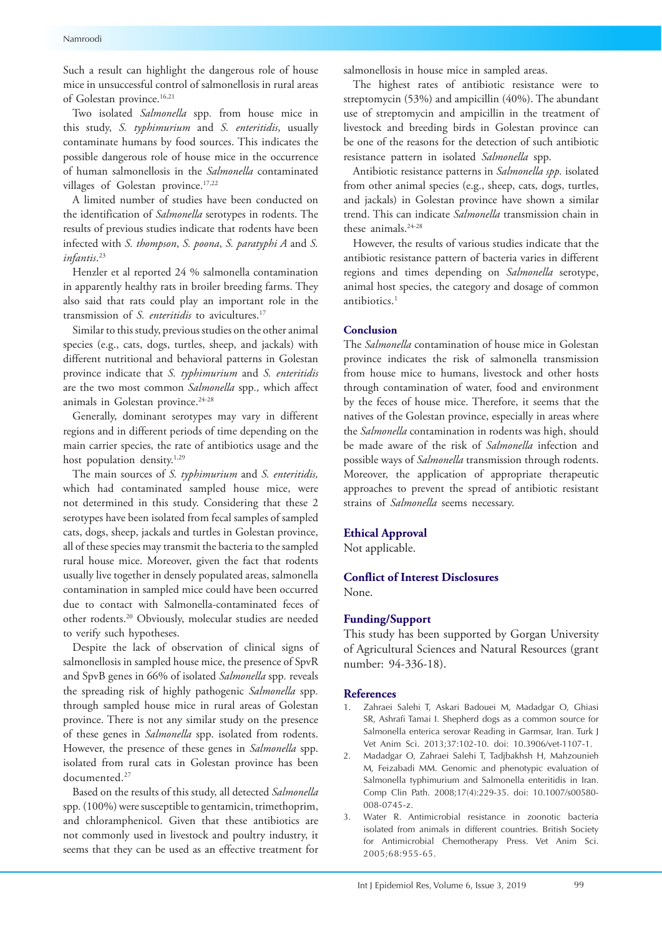Such a result can highlight the dangerous role of house mice in unsuccessful control of salmonellosis in rural areas of Golestan province.<sup>16,21</sup>

Two isolated *Salmonella* spp*.* from house mice in this study, *S. typhimurium* and *S. enteritidis*, usually contaminate humans by food sources. This indicates the possible dangerous role of house mice in the occurrence of human salmonellosis in the *Salmonella* contaminated villages of Golestan province.<sup>17,22</sup>

A limited number of studies have been conducted on the identification of *Salmonella* serotypes in rodents. The results of previous studies indicate that rodents have been infected with *S. thompson*, *S. poona*, *S. paratyphi A* and *S. infantis*. 23

Henzler et al reported 24 % salmonella contamination in apparently healthy rats in broiler breeding farms. They also said that rats could play an important role in the transmission of *S. enteritidis* to avicultures.17

Similar to this study, previous studies on the other animal species (e.g., cats, dogs, turtles, sheep, and jackals) with different nutritional and behavioral patterns in Golestan province indicate that *S. typhimurium* and *S. enteritidis* are the two most common *Salmonella* spp*.,* which affect animals in Golestan province.<sup>24-28</sup>

Generally, dominant serotypes may vary in different regions and in different periods of time depending on the main carrier species, the rate of antibiotics usage and the host population density.<sup>1,29</sup>

The main sources of *S. typhimurium* and *S. enteritidis,* which had contaminated sampled house mice, were not determined in this study. Considering that these 2 serotypes have been isolated from fecal samples of sampled cats, dogs, sheep, jackals and turtles in Golestan province, all of these species may transmit the bacteria to the sampled rural house mice. Moreover, given the fact that rodents usually live together in densely populated areas, salmonella contamination in sampled mice could have been occurred due to contact with Salmonella-contaminated feces of other rodents.20 Obviously, molecular studies are needed to verify such hypotheses.

Despite the lack of observation of clinical signs of salmonellosis in sampled house mice, the presence of SpvR and SpvB genes in 66% of isolated *Salmonella* spp*.* reveals the spreading risk of highly pathogenic *Salmonella* spp*.* through sampled house mice in rural areas of Golestan province. There is not any similar study on the presence of these genes in *Salmonella* spp. isolated from rodents. However, the presence of these genes in *Salmonella* spp. isolated from rural cats in Golestan province has been documented<sup>27</sup>

Based on the results of this study, all detected *Salmonella*  spp*.* (100%) were susceptible to gentamicin, trimethoprim, and chloramphenicol. Given that these antibiotics are not commonly used in livestock and poultry industry, it seems that they can be used as an effective treatment for

salmonellosis in house mice in sampled areas.

The highest rates of antibiotic resistance were to streptomycin (53%) and ampicillin (40%). The abundant use of streptomycin and ampicillin in the treatment of livestock and breeding birds in Golestan province can be one of the reasons for the detection of such antibiotic resistance pattern in isolated *Salmonella* spp.

Antibiotic resistance patterns in *Salmonella spp.* isolated from other animal species (e.g., sheep, cats, dogs, turtles, and jackals) in Golestan province have shown a similar trend. This can indicate *Salmonella* transmission chain in these animals.24-28

However, the results of various studies indicate that the antibiotic resistance pattern of bacteria varies in different regions and times depending on *Salmonella* serotype, animal host species, the category and dosage of common antibiotics.<sup>1</sup>

#### **Conclusion**

The *Salmonella* contamination of house mice in Golestan province indicates the risk of salmonella transmission from house mice to humans, livestock and other hosts through contamination of water, food and environment by the feces of house mice. Therefore, it seems that the natives of the Golestan province, especially in areas where the *Salmonella* contamination in rodents was high, should be made aware of the risk of *Salmonella* infection and possible ways of *Salmonella* transmission through rodents. Moreover, the application of appropriate therapeutic approaches to prevent the spread of antibiotic resistant strains of *Salmonella* seems necessary.

## **Ethical Approval**

Not applicable.

# **Conflict of Interest Disclosures**

None.

#### **Funding/Support**

This study has been supported by Gorgan University of Agricultural Sciences and Natural Resources (grant number: 94-336-18).

#### **References**

- 1. Zahraei Salehi T, Askari Badouei M, Madadgar O, Ghiasi SR, Ashrafi Tamai I. Shepherd dogs as a common source for Salmonella enterica serovar Reading in Garmsar, Iran. Turk J Vet Anim Sci. 2013;37:102-10. doi: 10.3906/vet-1107-1.
- 2. Madadgar O, Zahraei Salehi T, Tadjbakhsh H, Mahzounieh M, Feizabadi MM. Genomic and phenotypic evaluation of Salmonella typhimurium and Salmonella enteritidis in Iran. Comp Clin Path. 2008;17(4):229-35. doi: 10.1007/s00580- 008-0745-z.
- 3. Water R. Antimicrobial resistance in zoonotic bacteria isolated from animals in different countries. British Society for Antimicrobial Chemotherapy Press. Vet Anim Sci. 2005;68:955-65.